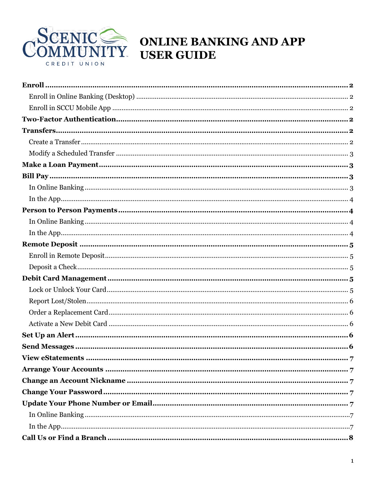

# COMMUNITY ONLINE BANKING AND APP **USER GUIDE**

| $\label{eq:2} \textbf{Deposit a Check}.\textcolor{red}{\textbf{}}\textcolor{red}{\textbf{}}\textcolor{red}{\textbf{}}\textcolor{red}{\textbf{}}\textcolor{red}{\textbf{}}\textcolor{red}{\textbf{}}\textcolor{red}{\textbf{}}\textcolor{red}{\textbf{}}\textcolor{red}{\textbf{}}\textcolor{red}{\textbf{}}\textcolor{red}{\textbf{}}\textcolor{red}{\textbf{}}\textcolor{red}{\textbf{}}\textcolor{red}{\textbf{}}\textcolor{red}{\textbf{}}\textcolor{red}{\textbf{}}\textcolor{red}{\textbf{}}$ |  |
|----------------------------------------------------------------------------------------------------------------------------------------------------------------------------------------------------------------------------------------------------------------------------------------------------------------------------------------------------------------------------------------------------------------------------------------------------------------------------------------------------|--|
|                                                                                                                                                                                                                                                                                                                                                                                                                                                                                                    |  |
|                                                                                                                                                                                                                                                                                                                                                                                                                                                                                                    |  |
|                                                                                                                                                                                                                                                                                                                                                                                                                                                                                                    |  |
|                                                                                                                                                                                                                                                                                                                                                                                                                                                                                                    |  |
|                                                                                                                                                                                                                                                                                                                                                                                                                                                                                                    |  |
|                                                                                                                                                                                                                                                                                                                                                                                                                                                                                                    |  |
|                                                                                                                                                                                                                                                                                                                                                                                                                                                                                                    |  |
|                                                                                                                                                                                                                                                                                                                                                                                                                                                                                                    |  |
|                                                                                                                                                                                                                                                                                                                                                                                                                                                                                                    |  |
|                                                                                                                                                                                                                                                                                                                                                                                                                                                                                                    |  |
|                                                                                                                                                                                                                                                                                                                                                                                                                                                                                                    |  |
|                                                                                                                                                                                                                                                                                                                                                                                                                                                                                                    |  |
|                                                                                                                                                                                                                                                                                                                                                                                                                                                                                                    |  |
|                                                                                                                                                                                                                                                                                                                                                                                                                                                                                                    |  |
|                                                                                                                                                                                                                                                                                                                                                                                                                                                                                                    |  |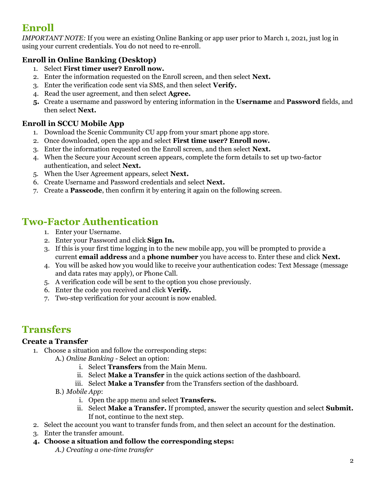# <span id="page-1-0"></span>**Enroll**

*IMPORTANT NOTE:* If you were an existing Online Banking or app user prior to March 1, 2021, just log in using your current credentials. You do not need to re-enroll.

### <span id="page-1-1"></span>**Enroll in Online Banking (Desktop)**

- 1. Select **First timer user? Enroll now.**
- 2. Enter the information requested on the Enroll screen, and then select **Next.**
- 3. Enter the verification code sent via SMS, and then select **Verify.**
- 4. Read the user agreement, and then select **Agree.**
- **5.** Create a username and password by entering information in the **Username** and **Password** fields, and then select **Next.**

#### <span id="page-1-2"></span>**Enroll in SCCU Mobile App**

- 1. Download the Scenic Community CU app from your smart phone app store.
- 2. Once downloaded, open the app and select **First time user? Enroll now.**
- 3. Enter the information requested on the Enroll screen, and then select **Next.**
- 4. When the Secure your Account screen appears, complete the form details to set up two-factor authentication, and select **Next.**
- 5. When the User Agreement appears, select **Next.**
- 6. Create Username and Password credentials and select **Next.**
- 7. Create a **Passcode**, then confirm it by entering it again on the following screen.

# <span id="page-1-3"></span>**Two-Factor Authentication**

- 1. Enter your Username.
- 2. Enter your Password and click **Sign In.**
- 3. If this is your first time logging in to the new mobile app, you will be prompted to provide a current **email address** and a **phone number** you have access to. Enter these and click **Next.**
- 4. You will be asked how you would like to receive your authentication codes: Text Message (message and data rates may apply), or Phone Call.
- 5. A verification code will be sent to the option you chose previously.
- 6. Enter the code you received and click **Verify.**
- 7. Two-step verification for your account is now enabled.

# <span id="page-1-4"></span>**Transfers**

#### <span id="page-1-5"></span>**Create a Transfer**

- 1. Choose a situation and follow the corresponding steps:
	- A.) *Online Banking* Select an option:
		- i. Select **Transfers** from the Main Menu.
		- ii. Select **Make a Transfer** in the quick actions section of the dashboard.
		- iii. Select **Make a Transfer** from the Transfers section of the dashboard.
	- B.) *Mobile App*:
		- i. Open the app menu and select **Transfers.**
		- ii. Select **Make a Transfer.** If prompted, answer the security question and select **Submit.** If not, continue to the next step.
- 2. Select the account you want to transfer funds from, and then select an account for the destination.
- 3. Enter the transfer amount.
- **4. Choose a situation and follow the corresponding steps:**
	- *A.) Creating a one-time transfer*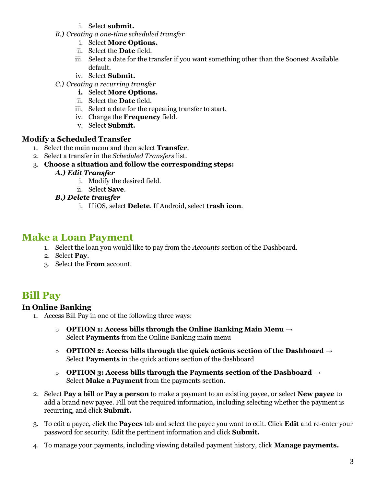- i. Select **submit.**
- *B.) Creating a one-time scheduled transfer*
	- i. Select **More Options.**
	- ii. Select the **Date** field.
	- iii. Select a date for the transfer if you want something other than the Soonest Available default.
	- iv. Select **Submit.**
- *C.) Creating a recurring transfer*
	- **i.** Select **More Options.**
	- ii. Select the **Date** field.
	- iii. Select a date for the repeating transfer to start.
	- iv. Change the **Frequency** field.
	- v. Select **Submit.**

#### <span id="page-2-0"></span>**Modify a Scheduled Transfer**

- 1. Select the main menu and then select **Transfer**.
- 2. Select a transfer in the *Scheduled Transfers* list.
- 3. **Choose a situation and follow the corresponding steps:**

#### *A.) Edit Transfer*

- i. Modify the desired field.
- ii. Select **Save**.

#### *B.) Delete transfer*

i. If iOS, select **Delete**. If Android, select **trash icon**.

### <span id="page-2-1"></span>**Make a Loan Payment**

- 1. Select the loan you would like to pay from the *Accounts* section of the Dashboard.
- 2. Select **Pay**.
- 3. Select the **From** account.

## <span id="page-2-2"></span>**Bill Pay**

#### <span id="page-2-3"></span>**In Online Banking**

- 1. Access Bill Pay in one of the following three ways:
	- o **OPTION 1: Access bills through the Online Banking Main Menu** → Select **Payments** from the Online Banking main menu
	- o **OPTION 2: Access bills through the quick actions section of the Dashboard** → Select **Payments** in the quick actions section of the dashboard
	- o **OPTION 3: Access bills through the Payments section of the Dashboard** → Select **Make a Payment** from the payments section.
- 2. Select **Pay a bill** or **Pay a person** to make a payment to an existing payee, or select **New payee** to add a brand new payee. Fill out the required information, including selecting whether the payment is recurring, and click **Submit.**
- 3. To edit a payee, click the **Payees** tab and select the payee you want to edit. Click **Edit** and re-enter your password for security. Edit the pertinent information and click **Submit.**
- 4. To manage your payments, including viewing detailed payment history, click **Manage payments.**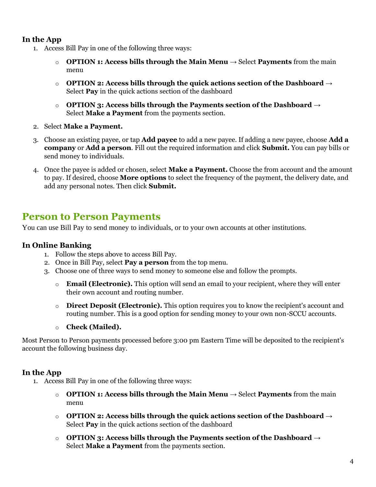#### <span id="page-3-0"></span>**In the App**

- 1. Access Bill Pay in one of the following three ways:
	- o **OPTION 1: Access bills through the Main Menu** → Select **Payments** from the main menu
	- o **OPTION 2: Access bills through the quick actions section of the Dashboard** → Select **Pay** in the quick actions section of the dashboard
	- o **OPTION 3: Access bills through the Payments section of the Dashboard** → Select **Make a Payment** from the payments section.
- 2. Select **Make a Payment.**
- 3. Choose an existing payee, or tap **Add payee** to add a new payee. If adding a new payee, choose **Add a company** or **Add a person**. Fill out the required information and click **Submit.** You can pay bills or send money to individuals.
- 4. Once the payee is added or chosen, select **Make a Payment.** Choose the from account and the amount to pay. If desired, choose **More options** to select the frequency of the payment, the delivery date, and add any personal notes. Then click **Submit.**

### <span id="page-3-1"></span>**Person to Person Payments**

You can use Bill Pay to send money to individuals, or to your own accounts at other institutions.

#### <span id="page-3-2"></span>**In Online Banking**

- 1. Follow the steps above to access Bill Pay.
- 2. Once in Bill Pay, select **Pay a person** from the top menu.
- 3. Choose one of three ways to send money to someone else and follow the prompts.
	- o **Email (Electronic).** This option will send an email to your recipient, where they will enter their own account and routing number.
	- o **Direct Deposit (Electronic).** This option requires you to know the recipient's account and routing number. This is a good option for sending money to your own non-SCCU accounts.
	- o **Check (Mailed).**

Most Person to Person payments processed before 3:00 pm Eastern Time will be deposited to the recipient's account the following business day.

#### <span id="page-3-3"></span>**In the App**

- 1. Access Bill Pay in one of the following three ways:
	- o **OPTION 1: Access bills through the Main Menu** → Select **Payments** from the main menu
	- o **OPTION 2: Access bills through the quick actions section of the Dashboard** → Select **Pay** in the quick actions section of the dashboard
	- o **OPTION 3: Access bills through the Payments section of the Dashboard** → Select **Make a Payment** from the payments section.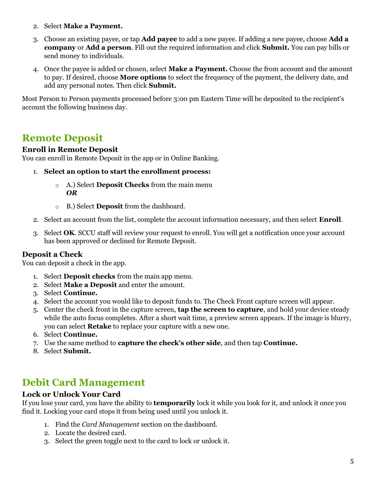- 2. Select **Make a Payment.**
- 3. Choose an existing payee, or tap **Add payee** to add a new payee. If adding a new payee, choose **Add a company** or **Add a person**. Fill out the required information and click **Submit.** You can pay bills or send money to individuals.
- 4. Once the payee is added or chosen, select **Make a Payment.** Choose the from account and the amount to pay. If desired, choose **More options** to select the frequency of the payment, the delivery date, and add any personal notes. Then click **Submit.**

Most Person to Person payments processed before 3:00 pm Eastern Time will be deposited to the recipient's account the following business day.

# <span id="page-4-0"></span>**Remote Deposit**

#### <span id="page-4-1"></span>**Enroll in Remote Deposit**

You can enroll in Remote Deposit in the app or in Online Banking.

- 1. **Select an option to start the enrollment process:**
	- o A.) Select **Deposit Checks** from the main menu *OR*
	- o B.) Select **Deposit** from the dashboard.
- 2. Select an account from the list, complete the account information necessary, and then select **Enroll**.
- 3. Select **OK**. SCCU staff will review your request to enroll. You will get a notification once your account has been approved or declined for Remote Deposit.

#### <span id="page-4-2"></span>**Deposit a Check**

You can deposit a check in the app.

- 1. Select **Deposit checks** from the main app menu.
- 2. Select **Make a Deposit** and enter the amount.
- 3. Select **Continue.**
- 4. Select the account you would like to deposit funds to. The Check Front capture screen will appear.
- 5. Center the check front in the capture screen, **tap the screen to capture**, and hold your device steady while the auto focus completes. After a short wait time, a preview screen appears. If the image is blurry, you can select **Retake** to replace your capture with a new one.
- 6. Select **Continue.**
- 7. Use the same method to **capture the check's other side**, and then tap **Continue.**
- 8. Select **Submit.**

# <span id="page-4-3"></span>**Debit Card Management**

#### <span id="page-4-4"></span>**Lock or Unlock Your Card**

If you lose your card, you have the ability to **temporarily** lock it while you look for it, and unlock it once you find it. Locking your card stops it from being used until you unlock it.

- 1. Find the *Card Management* section on the dashboard.
- 2. Locate the desired card.
- 3. Select the green toggle next to the card to lock or unlock it.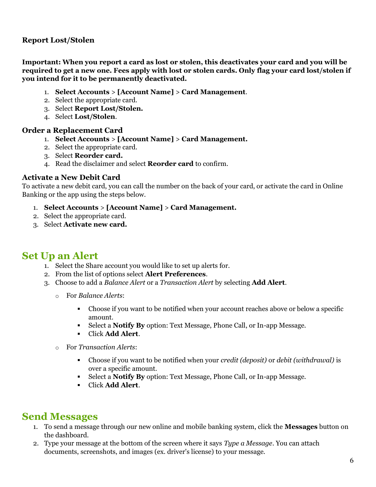#### <span id="page-5-0"></span>**Report Lost/Stolen**

**Important: When you report a card as lost or stolen, this deactivates your card and you will be required to get a new one. Fees apply with lost or stolen cards. Only flag your card lost/stolen if you intend for it to be permanently deactivated.**

- 1. **Select Accounts** > **[Account Name]** > **Card Management**.
- 2. Select the appropriate card.
- 3. Select **Report Lost/Stolen.**
- 4. Select **Lost/Stolen**.

#### <span id="page-5-1"></span>**Order a Replacement Card**

- 1. **Select Accounts** > **[Account Name]** > **Card Management.**
- 2. Select the appropriate card.
- 3. Select **Reorder card.**
- 4. Read the disclaimer and select **Reorder card** to confirm.

#### <span id="page-5-2"></span>**Activate a New Debit Card**

To activate a new debit card, you can call the number on the back of your card, or activate the card in Online Banking or the app using the steps below.

- 1. **Select Accounts** > **[Account Name]** > **Card Management.**
- 2. Select the appropriate card.
- 3. Select **Activate new card.**

## <span id="page-5-3"></span>**Set Up an Alert**

- 1. Select the Share account you would like to set up alerts for.
- 2. From the list of options select **Alert Preferences**.
- 3. Choose to add a *Balance Alert* or a *Transaction Alert* by selecting **Add Alert**.
	- o For *Balance Alerts*:
		- Choose if you want to be notified when your account reaches above or below a specific amount.
		- $\mathbf{u}$ Select a **Notify By** option: Text Message, Phone Call, or In-app Message.
		- Click **Add Alert**.
	- o For *Transaction Alerts*:
		- $\mathbf{r}$ Choose if you want to be notified when your *credit (deposit)* or *debit (withdrawal)* is over a specific amount.
		- Select a **Notify By** option: Text Message, Phone Call, or In-app Message.
		- Click **Add Alert**.

## <span id="page-5-4"></span>**Send Messages**

- 1. To send a message through our new online and mobile banking system, click the **Messages** button on the dashboard.
- 2. Type your message at the bottom of the screen where it says *Type a Message*. You can attach documents, screenshots, and images (ex. driver's license) to your message.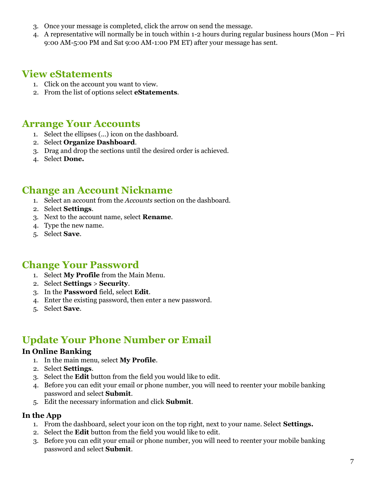- 3. Once your message is completed, click the arrow on send the message.
- 4. A representative will normally be in touch within 1-2 hours during regular business hours (Mon Fri 9:00 AM-5:00 PM and Sat 9:00 AM-1:00 PM ET) after your message has sent.

# <span id="page-6-0"></span>**View eStatements**

- 1. Click on the account you want to view.
- 2. From the list of options select **eStatements**.

## <span id="page-6-1"></span>**Arrange Your Accounts**

- 1. Select the ellipses (...) icon on the dashboard.
- 2. Select **Organize Dashboard**.
- 3. Drag and drop the sections until the desired order is achieved.
- 4. Select **Done.**

### <span id="page-6-2"></span>**Change an Account Nickname**

- 1. Select an account from the *Accounts* section on the dashboard.
- 2. Select **Settings**.
- 3. Next to the account name, select **Rename**.
- 4. Type the new name.
- 5. Select **Save**.

## <span id="page-6-3"></span>**Change Your Password**

- 1. Select **My Profile** from the Main Menu.
- 2. Select **Settings** > **Security**.
- 3. In the **Password** field, select **Edit**.
- 4. Enter the existing password, then enter a new password.
- 5. Select **Save**.

# <span id="page-6-4"></span>**Update Your Phone Number or Email**

#### <span id="page-6-5"></span>**In Online Banking**

- 1. In the main menu, select **My Profile**.
- 2. Select **Settings**.
- 3. Select the **Edit** button from the field you would like to edit.
- 4. Before you can edit your email or phone number, you will need to reenter your mobile banking password and select **Submit**.
- 5. Edit the necessary information and click **Submit**.

#### <span id="page-6-6"></span>**In the App**

- 1. From the dashboard, select your icon on the top right, next to your name. Select **Settings.**
- 2. Select the **Edit** button from the field you would like to edit.
- 3. Before you can edit your email or phone number, you will need to reenter your mobile banking password and select **Submit**.